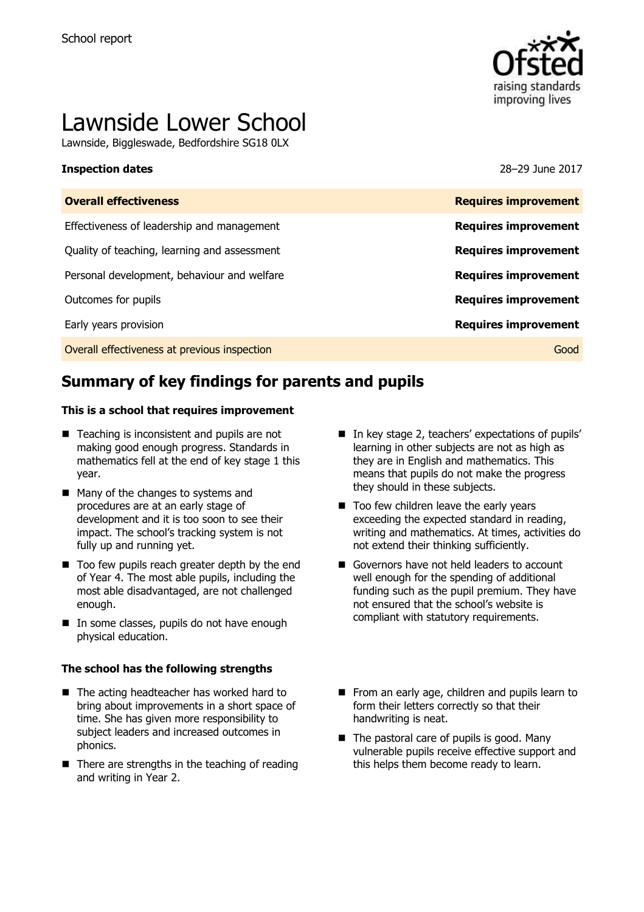

# Lawnside Lower School

Lawnside, Biggleswade, Bedfordshire SG18 0LX

#### **Inspection dates** 28–29 June 2017

| <b>Overall effectiveness</b>                 | <b>Requires improvement</b> |
|----------------------------------------------|-----------------------------|
| Effectiveness of leadership and management   | <b>Requires improvement</b> |
| Quality of teaching, learning and assessment | <b>Requires improvement</b> |
| Personal development, behaviour and welfare  | <b>Requires improvement</b> |
| Outcomes for pupils                          | <b>Requires improvement</b> |
| Early years provision                        | <b>Requires improvement</b> |
| Overall effectiveness at previous inspection | Good                        |

# **Summary of key findings for parents and pupils**

#### **This is a school that requires improvement**

- Teaching is inconsistent and pupils are not making good enough progress. Standards in mathematics fell at the end of key stage 1 this year.
- Many of the changes to systems and procedures are at an early stage of development and it is too soon to see their impact. The school's tracking system is not fully up and running yet.
- Too few pupils reach greater depth by the end of Year 4. The most able pupils, including the most able disadvantaged, are not challenged enough.
- In some classes, pupils do not have enough physical education.

#### **The school has the following strengths**

- The acting headteacher has worked hard to bring about improvements in a short space of time. She has given more responsibility to subject leaders and increased outcomes in phonics.
- $\blacksquare$  There are strengths in the teaching of reading and writing in Year 2.
- In key stage 2, teachers' expectations of pupils' learning in other subjects are not as high as they are in English and mathematics. This means that pupils do not make the progress they should in these subjects.
- Too few children leave the early years exceeding the expected standard in reading, writing and mathematics. At times, activities do not extend their thinking sufficiently.
- Governors have not held leaders to account well enough for the spending of additional funding such as the pupil premium. They have not ensured that the school's website is compliant with statutory requirements.
- From an early age, children and pupils learn to form their letters correctly so that their handwriting is neat.
- $\blacksquare$  The pastoral care of pupils is good. Many vulnerable pupils receive effective support and this helps them become ready to learn.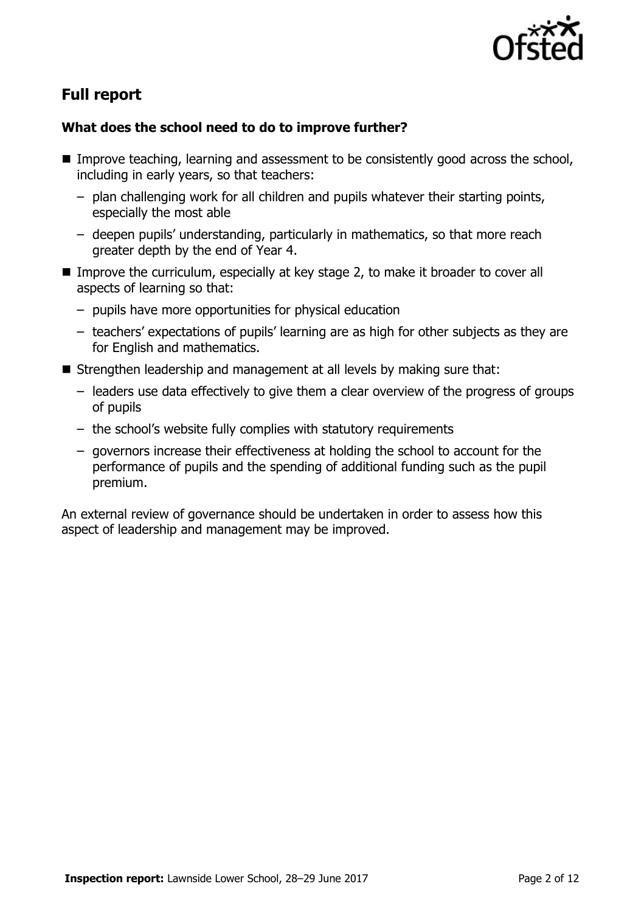

# **Full report**

### **What does the school need to do to improve further?**

- Improve teaching, learning and assessment to be consistently good across the school, including in early years, so that teachers:
	- plan challenging work for all children and pupils whatever their starting points, especially the most able
	- deepen pupils' understanding, particularly in mathematics, so that more reach greater depth by the end of Year 4.
- Improve the curriculum, especially at key stage 2, to make it broader to cover all aspects of learning so that:
	- pupils have more opportunities for physical education
	- teachers' expectations of pupils' learning are as high for other subjects as they are for English and mathematics.
- Strengthen leadership and management at all levels by making sure that:
	- leaders use data effectively to give them a clear overview of the progress of groups of pupils
	- the school's website fully complies with statutory requirements
	- governors increase their effectiveness at holding the school to account for the performance of pupils and the spending of additional funding such as the pupil premium.

An external review of governance should be undertaken in order to assess how this aspect of leadership and management may be improved.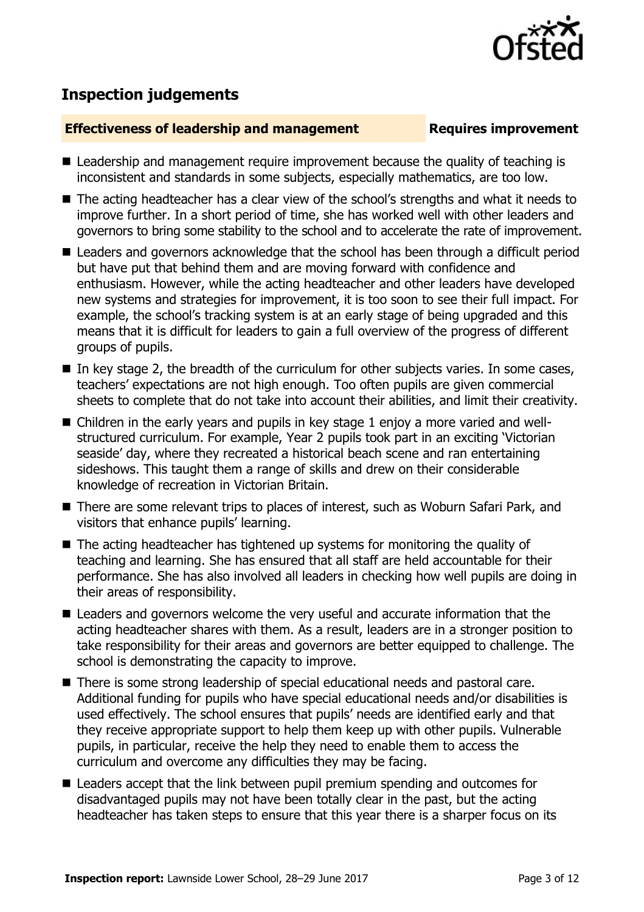

# **Inspection judgements**

#### **Effectiveness of leadership and management Requires improvement**

- Leadership and management require improvement because the quality of teaching is inconsistent and standards in some subjects, especially mathematics, are too low.
- The acting headteacher has a clear view of the school's strengths and what it needs to improve further. In a short period of time, she has worked well with other leaders and governors to bring some stability to the school and to accelerate the rate of improvement.
- Leaders and governors acknowledge that the school has been through a difficult period but have put that behind them and are moving forward with confidence and enthusiasm. However, while the acting headteacher and other leaders have developed new systems and strategies for improvement, it is too soon to see their full impact. For example, the school's tracking system is at an early stage of being upgraded and this means that it is difficult for leaders to gain a full overview of the progress of different groups of pupils.
- $\blacksquare$  In key stage 2, the breadth of the curriculum for other subjects varies. In some cases, teachers' expectations are not high enough. Too often pupils are given commercial sheets to complete that do not take into account their abilities, and limit their creativity.
- Children in the early years and pupils in key stage 1 enjoy a more varied and wellstructured curriculum. For example, Year 2 pupils took part in an exciting 'Victorian seaside' day, where they recreated a historical beach scene and ran entertaining sideshows. This taught them a range of skills and drew on their considerable knowledge of recreation in Victorian Britain.
- There are some relevant trips to places of interest, such as Woburn Safari Park, and visitors that enhance pupils' learning.
- The acting headteacher has tightened up systems for monitoring the quality of teaching and learning. She has ensured that all staff are held accountable for their performance. She has also involved all leaders in checking how well pupils are doing in their areas of responsibility.
- Leaders and governors welcome the very useful and accurate information that the acting headteacher shares with them. As a result, leaders are in a stronger position to take responsibility for their areas and governors are better equipped to challenge. The school is demonstrating the capacity to improve.
- There is some strong leadership of special educational needs and pastoral care. Additional funding for pupils who have special educational needs and/or disabilities is used effectively. The school ensures that pupils' needs are identified early and that they receive appropriate support to help them keep up with other pupils. Vulnerable pupils, in particular, receive the help they need to enable them to access the curriculum and overcome any difficulties they may be facing.
- **E** Leaders accept that the link between pupil premium spending and outcomes for disadvantaged pupils may not have been totally clear in the past, but the acting headteacher has taken steps to ensure that this year there is a sharper focus on its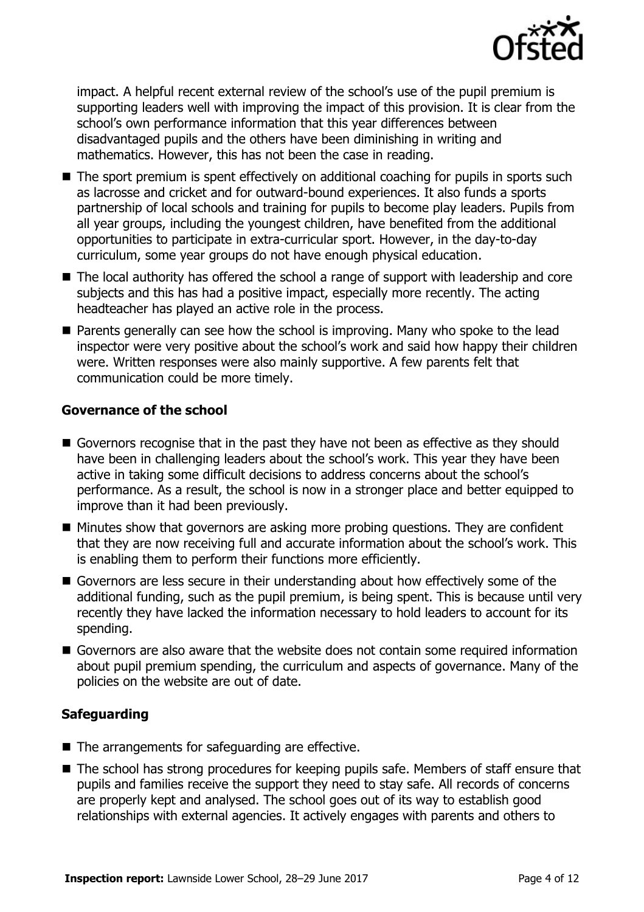

impact. A helpful recent external review of the school's use of the pupil premium is supporting leaders well with improving the impact of this provision. It is clear from the school's own performance information that this year differences between disadvantaged pupils and the others have been diminishing in writing and mathematics. However, this has not been the case in reading.

- The sport premium is spent effectively on additional coaching for pupils in sports such as lacrosse and cricket and for outward-bound experiences. It also funds a sports partnership of local schools and training for pupils to become play leaders. Pupils from all year groups, including the youngest children, have benefited from the additional opportunities to participate in extra-curricular sport. However, in the day-to-day curriculum, some year groups do not have enough physical education.
- The local authority has offered the school a range of support with leadership and core subjects and this has had a positive impact, especially more recently. The acting headteacher has played an active role in the process.
- Parents generally can see how the school is improving. Many who spoke to the lead inspector were very positive about the school's work and said how happy their children were. Written responses were also mainly supportive. A few parents felt that communication could be more timely.

#### **Governance of the school**

- Governors recognise that in the past they have not been as effective as they should have been in challenging leaders about the school's work. This year they have been active in taking some difficult decisions to address concerns about the school's performance. As a result, the school is now in a stronger place and better equipped to improve than it had been previously.
- Minutes show that governors are asking more probing questions. They are confident that they are now receiving full and accurate information about the school's work. This is enabling them to perform their functions more efficiently.
- Governors are less secure in their understanding about how effectively some of the additional funding, such as the pupil premium, is being spent. This is because until very recently they have lacked the information necessary to hold leaders to account for its spending.
- Governors are also aware that the website does not contain some required information about pupil premium spending, the curriculum and aspects of governance. Many of the policies on the website are out of date.

### **Safeguarding**

- $\blacksquare$  The arrangements for safeguarding are effective.
- The school has strong procedures for keeping pupils safe. Members of staff ensure that pupils and families receive the support they need to stay safe. All records of concerns are properly kept and analysed. The school goes out of its way to establish good relationships with external agencies. It actively engages with parents and others to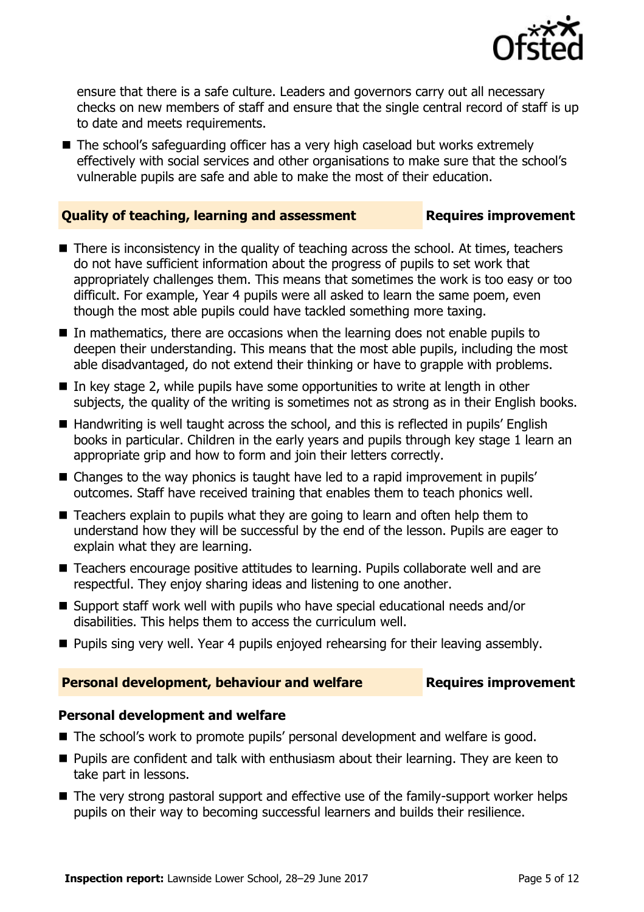

ensure that there is a safe culture. Leaders and governors carry out all necessary checks on new members of staff and ensure that the single central record of staff is up to date and meets requirements.

■ The school's safeguarding officer has a very high caseload but works extremely effectively with social services and other organisations to make sure that the school's vulnerable pupils are safe and able to make the most of their education.

#### **Quality of teaching, learning and assessment France Requires improvement**

- There is inconsistency in the quality of teaching across the school. At times, teachers do not have sufficient information about the progress of pupils to set work that appropriately challenges them. This means that sometimes the work is too easy or too difficult. For example, Year 4 pupils were all asked to learn the same poem, even though the most able pupils could have tackled something more taxing.
- $\blacksquare$  In mathematics, there are occasions when the learning does not enable pupils to deepen their understanding. This means that the most able pupils, including the most able disadvantaged, do not extend their thinking or have to grapple with problems.
- In key stage 2, while pupils have some opportunities to write at length in other subjects, the quality of the writing is sometimes not as strong as in their English books.
- Handwriting is well taught across the school, and this is reflected in pupils' English books in particular. Children in the early years and pupils through key stage 1 learn an appropriate grip and how to form and join their letters correctly.
- Changes to the way phonics is taught have led to a rapid improvement in pupils' outcomes. Staff have received training that enables them to teach phonics well.
- Teachers explain to pupils what they are going to learn and often help them to understand how they will be successful by the end of the lesson. Pupils are eager to explain what they are learning.
- Teachers encourage positive attitudes to learning. Pupils collaborate well and are respectful. They enjoy sharing ideas and listening to one another.
- Support staff work well with pupils who have special educational needs and/or disabilities. This helps them to access the curriculum well.
- **Pupils sing very well. Year 4 pupils enjoyed rehearsing for their leaving assembly.**

### **Personal development, behaviour and welfare <b>Requires improvement**

#### **Personal development and welfare**

- The school's work to promote pupils' personal development and welfare is good.
- **Pupils are confident and talk with enthusiasm about their learning. They are keen to** take part in lessons.
- The very strong pastoral support and effective use of the family-support worker helps pupils on their way to becoming successful learners and builds their resilience.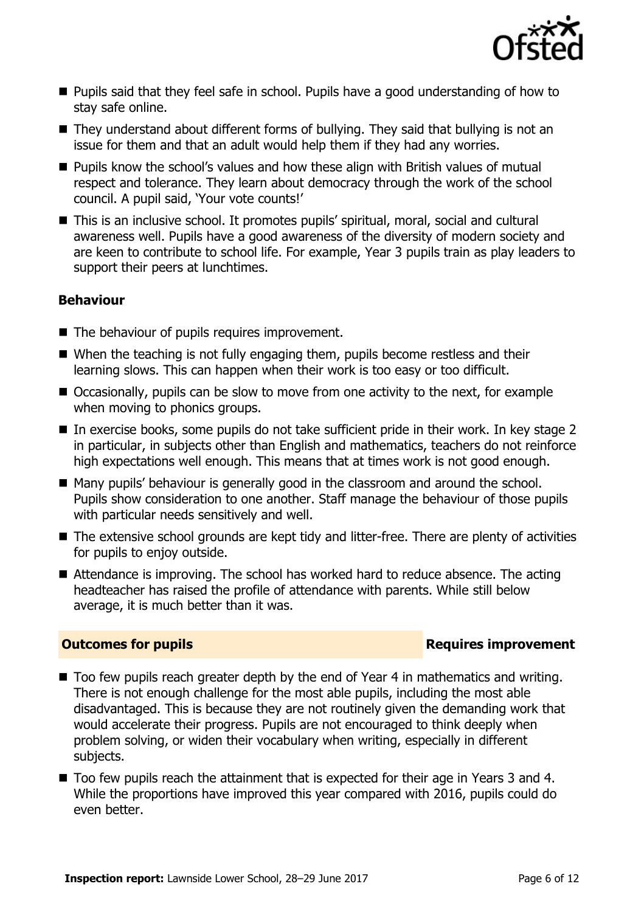

- Pupils said that they feel safe in school. Pupils have a good understanding of how to stay safe online.
- They understand about different forms of bullying. They said that bullying is not an issue for them and that an adult would help them if they had any worries.
- Pupils know the school's values and how these align with British values of mutual respect and tolerance. They learn about democracy through the work of the school council. A pupil said, 'Your vote counts!'
- This is an inclusive school. It promotes pupils' spiritual, moral, social and cultural awareness well. Pupils have a good awareness of the diversity of modern society and are keen to contribute to school life. For example, Year 3 pupils train as play leaders to support their peers at lunchtimes.

### **Behaviour**

- The behaviour of pupils requires improvement.
- When the teaching is not fully engaging them, pupils become restless and their learning slows. This can happen when their work is too easy or too difficult.
- Occasionally, pupils can be slow to move from one activity to the next, for example when moving to phonics groups.
- In exercise books, some pupils do not take sufficient pride in their work. In key stage 2 in particular, in subjects other than English and mathematics, teachers do not reinforce high expectations well enough. This means that at times work is not good enough.
- Many pupils' behaviour is generally good in the classroom and around the school. Pupils show consideration to one another. Staff manage the behaviour of those pupils with particular needs sensitively and well.
- The extensive school grounds are kept tidy and litter-free. There are plenty of activities for pupils to enjoy outside.
- Attendance is improving. The school has worked hard to reduce absence. The acting headteacher has raised the profile of attendance with parents. While still below average, it is much better than it was.

### **Outcomes for pupils Requires improvement**

- Too few pupils reach greater depth by the end of Year 4 in mathematics and writing. There is not enough challenge for the most able pupils, including the most able disadvantaged. This is because they are not routinely given the demanding work that would accelerate their progress. Pupils are not encouraged to think deeply when problem solving, or widen their vocabulary when writing, especially in different subjects.
- Too few pupils reach the attainment that is expected for their age in Years 3 and 4. While the proportions have improved this year compared with 2016, pupils could do even better.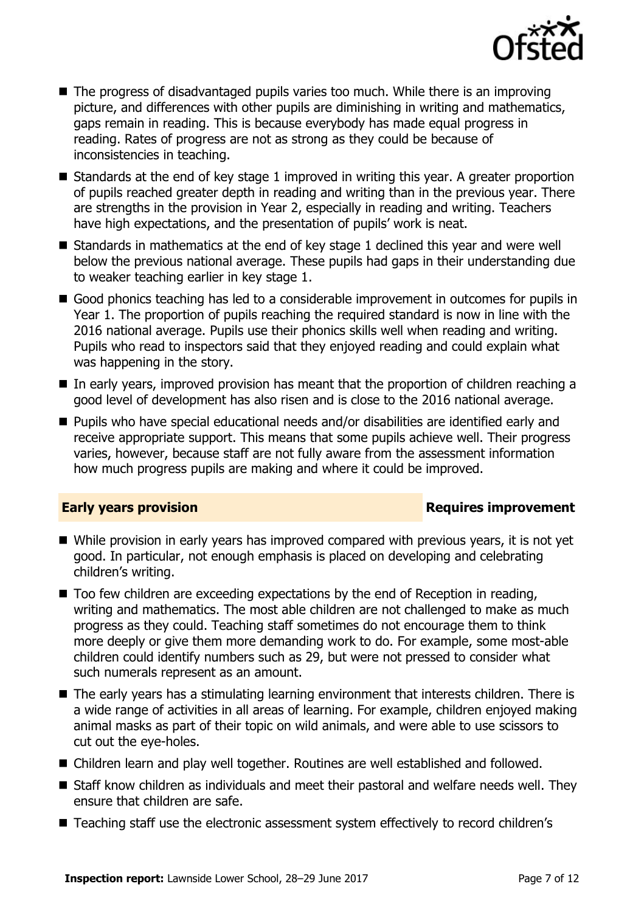

- The progress of disadvantaged pupils varies too much. While there is an improving picture, and differences with other pupils are diminishing in writing and mathematics, gaps remain in reading. This is because everybody has made equal progress in reading. Rates of progress are not as strong as they could be because of inconsistencies in teaching.
- Standards at the end of key stage 1 improved in writing this year. A greater proportion of pupils reached greater depth in reading and writing than in the previous year. There are strengths in the provision in Year 2, especially in reading and writing. Teachers have high expectations, and the presentation of pupils' work is neat.
- $\blacksquare$  Standards in mathematics at the end of key stage 1 declined this year and were well below the previous national average. These pupils had gaps in their understanding due to weaker teaching earlier in key stage 1.
- Good phonics teaching has led to a considerable improvement in outcomes for pupils in Year 1. The proportion of pupils reaching the required standard is now in line with the 2016 national average. Pupils use their phonics skills well when reading and writing. Pupils who read to inspectors said that they enjoyed reading and could explain what was happening in the story.
- In early years, improved provision has meant that the proportion of children reaching a good level of development has also risen and is close to the 2016 national average.
- Pupils who have special educational needs and/or disabilities are identified early and receive appropriate support. This means that some pupils achieve well. Their progress varies, however, because staff are not fully aware from the assessment information how much progress pupils are making and where it could be improved.

### **Early years provision Requires improvement**

- While provision in early years has improved compared with previous years, it is not yet good. In particular, not enough emphasis is placed on developing and celebrating children's writing.
- Too few children are exceeding expectations by the end of Reception in reading, writing and mathematics. The most able children are not challenged to make as much progress as they could. Teaching staff sometimes do not encourage them to think more deeply or give them more demanding work to do. For example, some most-able children could identify numbers such as 29, but were not pressed to consider what such numerals represent as an amount.
- The early years has a stimulating learning environment that interests children. There is a wide range of activities in all areas of learning. For example, children enjoyed making animal masks as part of their topic on wild animals, and were able to use scissors to cut out the eye-holes.
- Children learn and play well together. Routines are well established and followed.
- Staff know children as individuals and meet their pastoral and welfare needs well. They ensure that children are safe.
- Teaching staff use the electronic assessment system effectively to record children's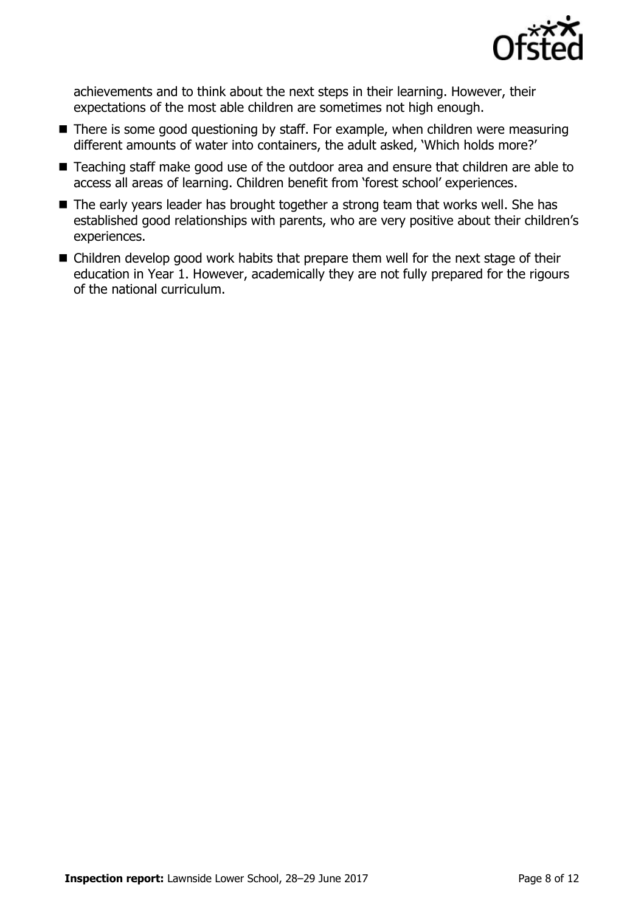

achievements and to think about the next steps in their learning. However, their expectations of the most able children are sometimes not high enough.

- There is some good questioning by staff. For example, when children were measuring different amounts of water into containers, the adult asked, 'Which holds more?'
- Teaching staff make good use of the outdoor area and ensure that children are able to access all areas of learning. Children benefit from 'forest school' experiences.
- The early years leader has brought together a strong team that works well. She has established good relationships with parents, who are very positive about their children's experiences.
- Children develop good work habits that prepare them well for the next stage of their education in Year 1. However, academically they are not fully prepared for the rigours of the national curriculum.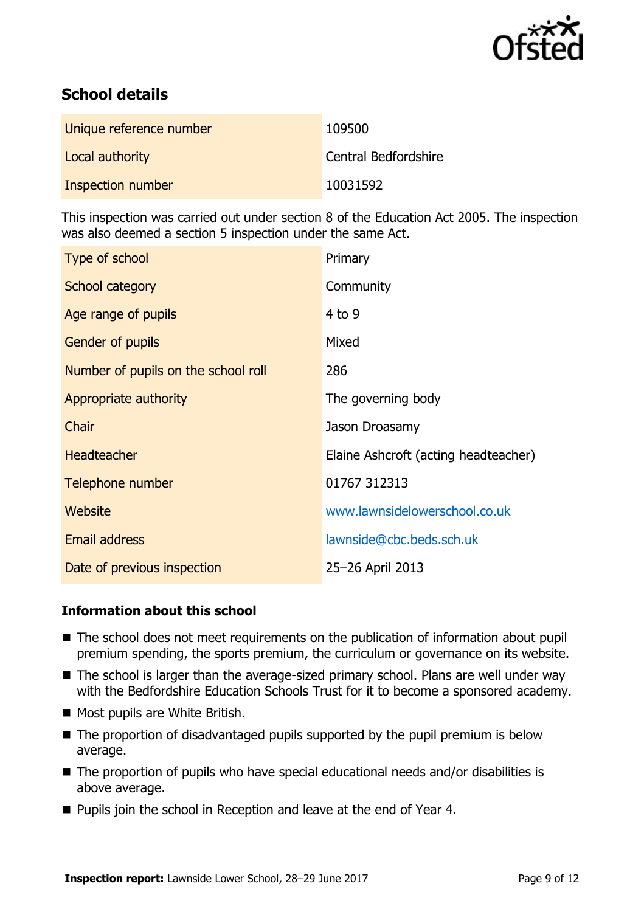

# **School details**

| Unique reference number | 109500               |
|-------------------------|----------------------|
| Local authority         | Central Bedfordshire |
| Inspection number       | 10031592             |

This inspection was carried out under section 8 of the Education Act 2005. The inspection was also deemed a section 5 inspection under the same Act.

| Type of school                      | Primary                              |
|-------------------------------------|--------------------------------------|
| School category                     | Community                            |
| Age range of pupils                 | $4$ to 9                             |
| <b>Gender of pupils</b>             | Mixed                                |
| Number of pupils on the school roll | 286                                  |
| Appropriate authority               | The governing body                   |
| Chair                               | Jason Droasamy                       |
| <b>Headteacher</b>                  | Elaine Ashcroft (acting headteacher) |
| Telephone number                    | 01767 312313                         |
| Website                             | www.lawnsidelowerschool.co.uk        |
| <b>Email address</b>                | lawnside@cbc.beds.sch.uk             |
| Date of previous inspection         | 25-26 April 2013                     |

### **Information about this school**

- The school does not meet requirements on the publication of information about pupil premium spending, the sports premium, the curriculum or governance on its website.
- The school is larger than the average-sized primary school. Plans are well under way with the Bedfordshire Education Schools Trust for it to become a sponsored academy.
- Most pupils are White British.
- The proportion of disadvantaged pupils supported by the pupil premium is below average.
- $\blacksquare$  The proportion of pupils who have special educational needs and/or disabilities is above average.
- Pupils join the school in Reception and leave at the end of Year 4.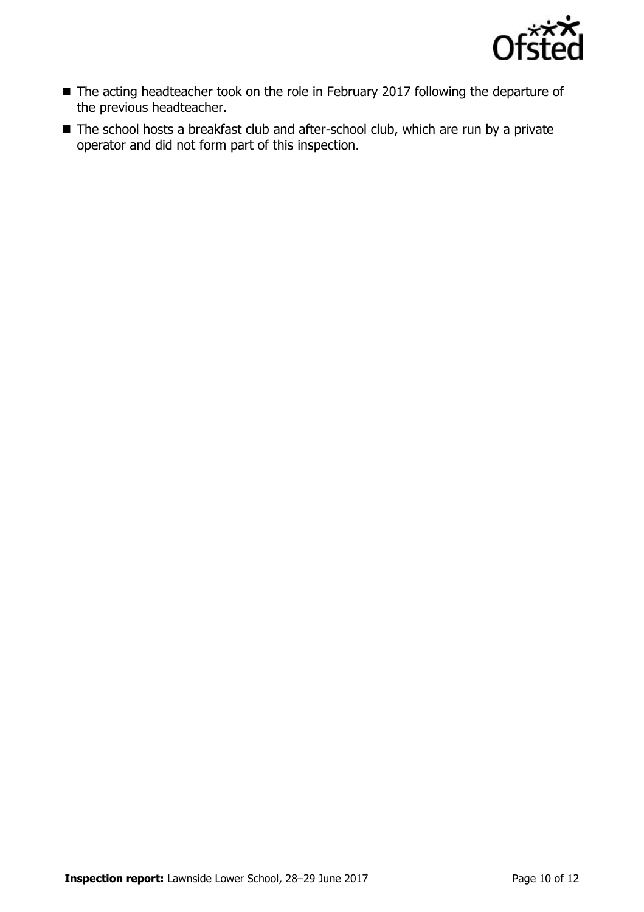

- The acting headteacher took on the role in February 2017 following the departure of the previous headteacher.
- The school hosts a breakfast club and after-school club, which are run by a private operator and did not form part of this inspection.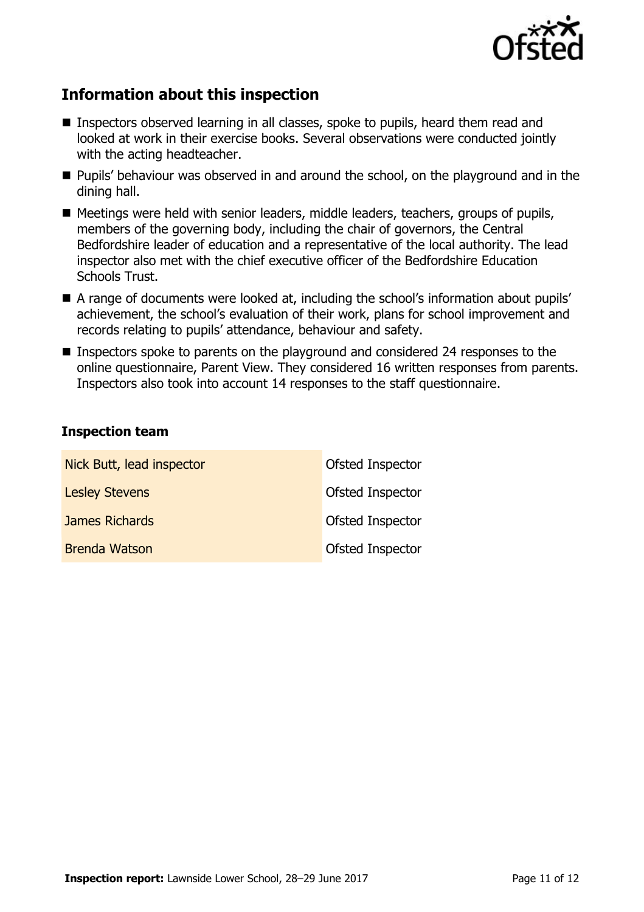

# **Information about this inspection**

- Inspectors observed learning in all classes, spoke to pupils, heard them read and looked at work in their exercise books. Several observations were conducted jointly with the acting headteacher.
- **Pupils'** behaviour was observed in and around the school, on the playground and in the dining hall.
- Meetings were held with senior leaders, middle leaders, teachers, groups of pupils, members of the governing body, including the chair of governors, the Central Bedfordshire leader of education and a representative of the local authority. The lead inspector also met with the chief executive officer of the Bedfordshire Education Schools Trust.
- A range of documents were looked at, including the school's information about pupils' achievement, the school's evaluation of their work, plans for school improvement and records relating to pupils' attendance, behaviour and safety.
- **Inspectors spoke to parents on the playground and considered 24 responses to the** online questionnaire, Parent View. They considered 16 written responses from parents. Inspectors also took into account 14 responses to the staff questionnaire.

#### **Inspection team**

| Nick Butt, lead inspector | Ofsted Inspector |
|---------------------------|------------------|
| <b>Lesley Stevens</b>     | Ofsted Inspector |
| James Richards            | Ofsted Inspector |
| <b>Brenda Watson</b>      | Ofsted Inspector |